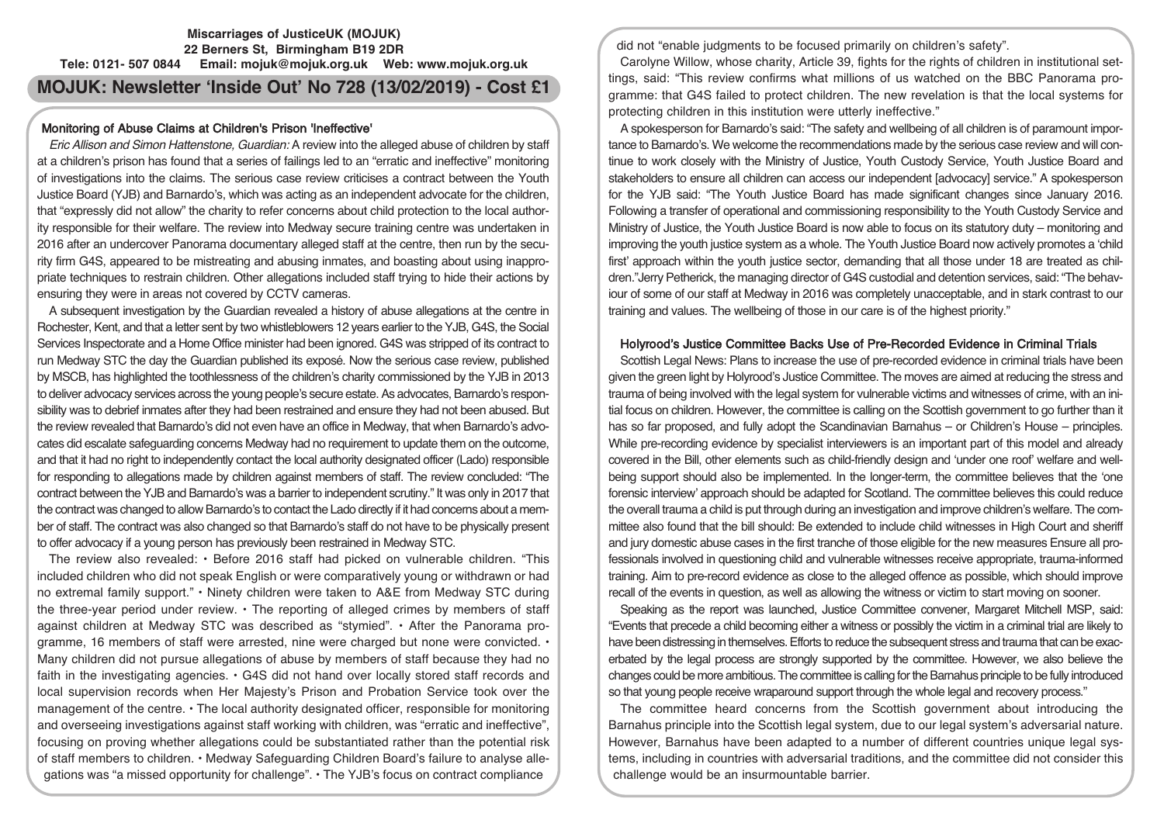## **Miscarriages of JusticeUK (MOJUK) 22 Berners St, Birmingham B19 2DR Tele: 0121- 507 0844 Email: mojuk@mojuk.org.uk Web: www.mojuk.org.uk**

# **MOJUK: Newsletter 'Inside Out' No 728 (13/02/2019) - Cost £1**

### Monitoring of Abuse Claims at Children's Prison 'Ineffective'

Eric Allison and Simon Hattenstone, Guardian: A review into the alleged abuse of children by staff at a children's prison has found that a series of failings led to an "erratic and ineffective" monitoring of investigations into the claims. The serious case review criticises a contract between the Youth Justice Board (YJB) and Barnardo's, which was acting as an independent advocate for the children, that "expressly did not allow" the charity to refer concerns about child protection to the local authority responsible for their welfare. The review into Medway secure training centre was undertaken in 2016 after an undercover Panorama documentary alleged staff at the centre, then run by the security firm G4S, appeared to be mistreating and abusing inmates, and boasting about using inappropriate techniques to restrain children. Other allegations included staff trying to hide their actions by ensuring they were in areas not covered by CCTV cameras.

A subsequent investigation by the Guardian revealed a history of abuse allegations at the centre in Rochester, Kent, and that a letter sent by two whistleblowers 12 years earlier to the YJB, G4S, the Social Services Inspectorate and a Home Office minister had been ignored. G4S was stripped of its contract to run Medway STC the day the Guardian published its exposé. Now the serious case review, published by MSCB, has highlighted the toothlessness of the children's charity commissioned by the YJB in 2013 to deliver advocacy services across the young people's secure estate. As advocates, Barnardo's responsibility was to debrief inmates after they had been restrained and ensure they had not been abused. But the review revealed that Barnardo's did not even have an office in Medway, that when Barnardo's advocates did escalate safeguarding concerns Medway had no requirement to update them on the outcome, and that it had no right to independently contact the local authority designated officer (Lado) responsible for responding to allegations made by children against members of staff. The review concluded: "The contract between the YJB and Barnardo's was a barrier to independent scrutiny." It was only in 2017 that the contract was changed to allow Barnardo's to contact the Lado directly if it had concerns about a member of staff. The contract was also changed so that Barnardo's staff do not have to be physically present to offer advocacy if a young person has previously been restrained in Medway STC.

The review also revealed: • Before 2016 staff had picked on vulnerable children. "This included children who did not speak English or were comparatively young or withdrawn or had no extremal family support." • Ninety children were taken to A&E from Medway STC during the three-year period under review. • The reporting of alleged crimes by members of staff against children at Medway STC was described as "stymied". • After the Panorama programme, 16 members of staff were arrested, nine were charged but none were convicted. • Many children did not pursue allegations of abuse by members of staff because they had no faith in the investigating agencies. • G4S did not hand over locally stored staff records and local supervision records when Her Majesty's Prison and Probation Service took over the management of the centre. • The local authority designated officer, responsible for monitoring and overseeing investigations against staff working with children, was "erratic and ineffective", focusing on proving whether allegations could be substantiated rather than the potential risk of staff members to children. • Medway Safeguarding Children Board's failure to analyse allegations was "a missed opportunity for challenge". • The YJB's focus on contract compliance

did not "enable judgments to be focused primarily on children's safety".

Carolyne Willow, whose charity, Article 39, fights for the rights of children in institutional settings, said: "This review confirms what millions of us watched on the BBC Panorama programme: that G4S failed to protect children. The new revelation is that the local systems for protecting children in this institution were utterly ineffective."

A spokesperson for Barnardo's said: "The safety and wellbeing of all children is of paramount importance to Barnardo's. We welcome the recommendations made by the serious case review and will continue to work closely with the Ministry of Justice, Youth Custody Service, Youth Justice Board and stakeholders to ensure all children can access our independent [advocacy] service." A spokesperson for the YJB said: "The Youth Justice Board has made significant changes since January 2016. Following a transfer of operational and commissioning responsibility to the Youth Custody Service and Ministry of Justice, the Youth Justice Board is now able to focus on its statutory duty – monitoring and improving the youth justice system as a whole. The Youth Justice Board now actively promotes a 'child first' approach within the youth justice sector, demanding that all those under 18 are treated as children."Jerry Petherick, the managing director of G4S custodial and detention services, said: "The behaviour of some of our staff at Medway in 2016 was completely unacceptable, and in stark contrast to our training and values. The wellbeing of those in our care is of the highest priority."

### Holyrood's Justice Committee Backs Use of Pre-Recorded Evidence in Criminal Trials

Scottish Legal News: Plans to increase the use of pre-recorded evidence in criminal trials have been given the green light by Holyrood's Justice Committee. The moves are aimed at reducing the stress and trauma of being involved with the legal system for vulnerable victims and witnesses of crime, with an initial focus on children. However, the committee is calling on the Scottish government to go further than it has so far proposed, and fully adopt the Scandinavian Barnahus – or Children's House – principles. While pre-recording evidence by specialist interviewers is an important part of this model and already covered in the Bill, other elements such as child-friendly design and 'under one roof' welfare and wellbeing support should also be implemented. In the longer-term, the committee believes that the 'one forensic interview' approach should be adapted for Scotland. The committee believes this could reduce the overall trauma a child is put through during an investigation and improve children's welfare. The committee also found that the bill should: Be extended to include child witnesses in High Court and sheriff and jury domestic abuse cases in the first tranche of those eligible for the new measures Ensure all professionals involved in questioning child and vulnerable witnesses receive appropriate, trauma-informed training. Aim to pre-record evidence as close to the alleged offence as possible, which should improve recall of the events in question, as well as allowing the witness or victim to start moving on sooner.

Speaking as the report was launched, Justice Committee convener, Margaret Mitchell MSP, said: "Events that precede a child becoming either a witness or possibly the victim in a criminal trial are likely to have been distressing in themselves. Efforts to reduce the subsequent stress and trauma that can be exacerbated by the legal process are strongly supported by the committee. However, we also believe the changes could be more ambitious.The committee is calling fortheBarnahus principle to be fully introduced so that young people receive wraparound support through the whole legal and recovery process."

The committee heard concerns from the Scottish government about introducing the Barnahus principle into the Scottish legal system, due to our legal system's adversarial nature. However, Barnahus have been adapted to a number of different countries unique legal systems, including in countries with adversarial traditions, and the committee did not consider this challenge would be an insurmountable barrier.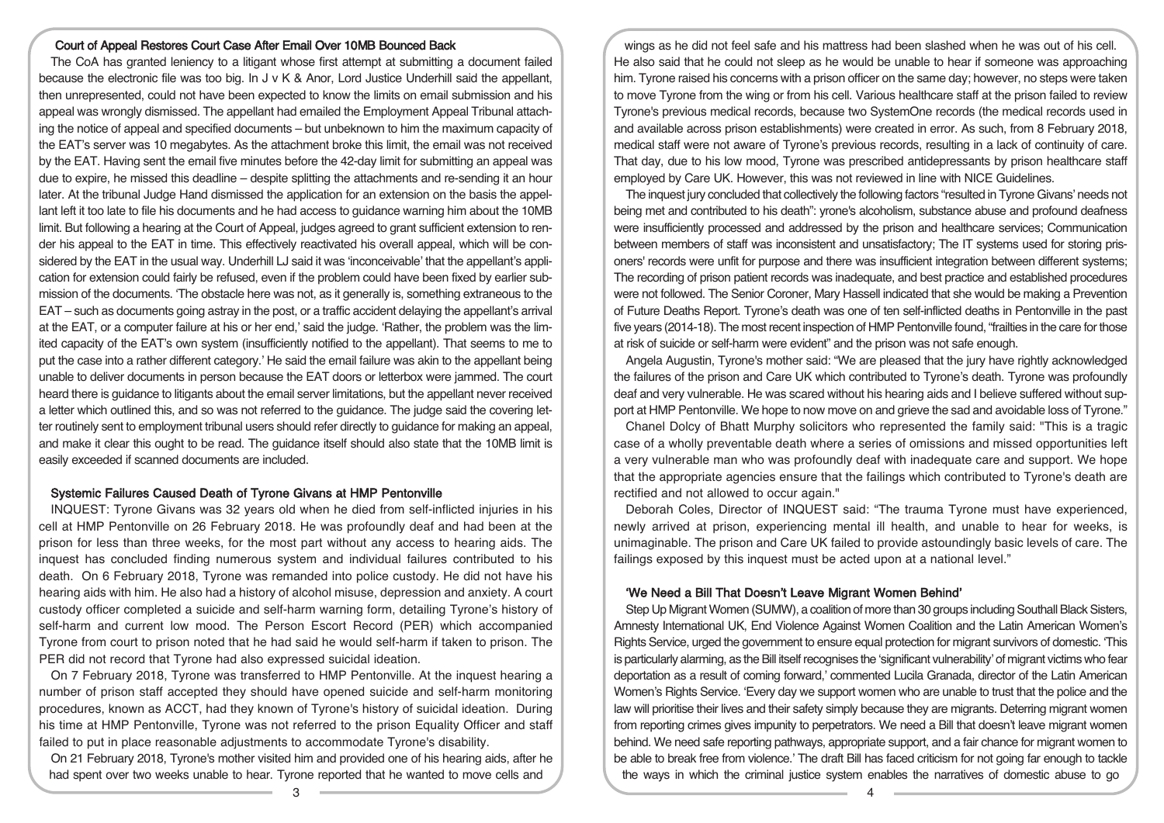### Court of Appeal Restores Court Case After Email Over 10MB Bounced Back

The CoA has granted leniency to a litigant whose first attempt at submitting a document failed because the electronic file was too big. In J v K & Anor, Lord Justice Underhill said the appellant, then unrepresented, could not have been expected to know the limits on email submission and his appeal was wrongly dismissed. The appellant had emailed the Employment Appeal Tribunal attaching the notice of appeal and specified documents – but unbeknown to him the maximum capacity of the EAT's server was 10 megabytes. As the attachment broke this limit, the email was not received by the EAT. Having sent the email five minutes before the 42-day limit for submitting an appeal was due to expire, he missed this deadline – despite splitting the attachments and re-sending it an hour later. At the tribunal Judge Hand dismissed the application for an extension on the basis the appellant left it too late to file his documents and he had access to guidance warning him about the 10MB limit. But following a hearing at the Court of Appeal, judges agreed to grant sufficient extension to render his appeal to the EAT in time. This effectively reactivated his overall appeal, which will be considered by the EAT in the usual way. Underhill LJ said it was 'inconceivable' that the appellant's application for extension could fairly be refused, even if the problem could have been fixed by earlier submission of the documents. 'The obstacle here was not, as it generally is, something extraneous to the EAT – such as documents going astray in the post, or a traffic accident delaying the appellant's arrival at the EAT, or a computer failure at his or her end,' said the judge. 'Rather, the problem was the limited capacity of the EAT's own system (insufficiently notified to the appellant). That seems to me to put the case into a rather different category.' He said the email failure was akin to the appellant being unable to deliver documents in person because the EAT doors or letterbox were jammed. The court heard there is guidance to litigants about the email server limitations, but the appellant never received a letter which outlined this, and so was not referred to the guidance. The judge said the covering letter routinely sent to employment tribunal users should refer directly to guidance for making an appeal, and make it clear this ought to be read. The guidance itself should also state that the 10MB limit is easily exceeded if scanned documents are included.

### Systemic Failures Caused Death of Tyrone Givans at HMP Pentonville

INQUEST: Tyrone Givans was 32 years old when he died from self-inflicted injuries in his cell at HMP Pentonville on 26 February 2018. He was profoundly deaf and had been at the prison for less than three weeks, for the most part without any access to hearing aids. The inquest has concluded finding numerous system and individual failures contributed to his death. On 6 February 2018, Tyrone was remanded into police custody. He did not have his hearing aids with him. He also had a history of alcohol misuse, depression and anxiety. A court custody officer completed a suicide and self-harm warning form, detailing Tyrone's history of self-harm and current low mood. The Person Escort Record (PER) which accompanied Tyrone from court to prison noted that he had said he would self-harm if taken to prison. The PER did not record that Tyrone had also expressed suicidal ideation.

On 7 February 2018, Tyrone was transferred to HMP Pentonville. At the inquest hearing a number of prison staff accepted they should have opened suicide and self-harm monitoring procedures, known as ACCT, had they known of Tyrone's history of suicidal ideation. During his time at HMP Pentonville. Tyrone was not referred to the prison Equality Officer and staff failed to put in place reasonable adjustments to accommodate Tyrone's disability.

On 21 February 2018, Tyrone's mother visited him and provided one of his hearing aids, after he had spent over two weeks unable to hear. Tyrone reported that he wanted to move cells and

wings as he did not feel safe and his mattress had been slashed when he was out of his cell. He also said that he could not sleep as he would be unable to hear if someone was approaching him. Tyrone raised his concerns with a prison officer on the same day; however, no steps were taken to move Tyrone from the wing or from his cell. Various healthcare staff at the prison failed to review Tyrone's previous medical records, because two SystemOne records (the medical records used in and available across prison establishments) were created in error. As such, from 8 February 2018, medical staff were not aware of Tyrone's previous records, resulting in a lack of continuity of care. That day, due to his low mood, Tyrone was prescribed antidepressants by prison healthcare staff employed by Care UK. However, this was not reviewed in line with NICE Guidelines.

The inquest jury concluded that collectively the following factors "resulted in Tyrone Givans' needs not being met and contributed to his death": yrone's alcoholism, substance abuse and profound deafness were insufficiently processed and addressed by the prison and healthcare services; Communication between members of staff was inconsistent and unsatisfactory; The IT systems used for storing prisoners' records were unfit for purpose and there was insufficient integration between different systems; The recording of prison patient records was inadequate, and best practice and established procedures were not followed. The Senior Coroner, Mary Hassell indicated that she would be making a Prevention of Future Deaths Report. Tyrone's death was one of ten self-inflicted deaths in Pentonville in the past five years (2014-18). The most recent inspection of HMP Pentonville found, "frailties in the care for those at risk of suicide or self-harm were evident" and the prison was not safe enough.

Angela Augustin, Tyrone's mother said: "We are pleased that the jury have rightly acknowledged the failures of the prison and Care UK which contributed to Tyrone's death. Tyrone was profoundly deaf and very vulnerable. He was scared without his hearing aids and I believe suffered without support at HMP Pentonville. We hope to now move on and grieve the sad and avoidable loss of Tyrone."

Chanel Dolcy of Bhatt Murphy solicitors who represented the family said: "This is a tragic case of a wholly preventable death where a series of omissions and missed opportunities left a very vulnerable man who was profoundly deaf with inadequate care and support. We hope that the appropriate agencies ensure that the failings which contributed to Tyrone's death are rectified and not allowed to occur again."

Deborah Coles, Director of INQUEST said: "The trauma Tyrone must have experienced, newly arrived at prison, experiencing mental ill health, and unable to hear for weeks, is unimaginable. The prison and Care UK failed to provide astoundingly basic levels of care. The failings exposed by this inquest must be acted upon at a national level."

### 'We Need a Bill That Doesn't Leave Migrant Women Behind'

Step Up Migrant Women (SUMW), a coalition of more than 30 groups including Southall Black Sisters, Amnesty International UK, End Violence Against Women Coalition and the Latin American Women's Rights Service, urged the government to ensure equal protection for migrant survivors of domestic. 'This is particularly alarming, as the Bill itself recognises the 'significant vulnerability' of migrant victims who fear deportation as a result of coming forward,' commented Lucila Granada, director of the Latin American Women's Rights Service. 'Every day we support women who are unable to trust that the police and the law will prioritise their lives and their safety simply because they are migrants. Deterring migrant women from reporting crimes gives impunity to perpetrators. We need a Bill that doesn't leave migrant women behind. We need safe reporting pathways, appropriate support, and a fair chance for migrant women to be able to break free from violence.' The draft Bill has faced criticism for not going far enough to tackle the ways in which the criminal justice system enables the narratives of domestic abuse to go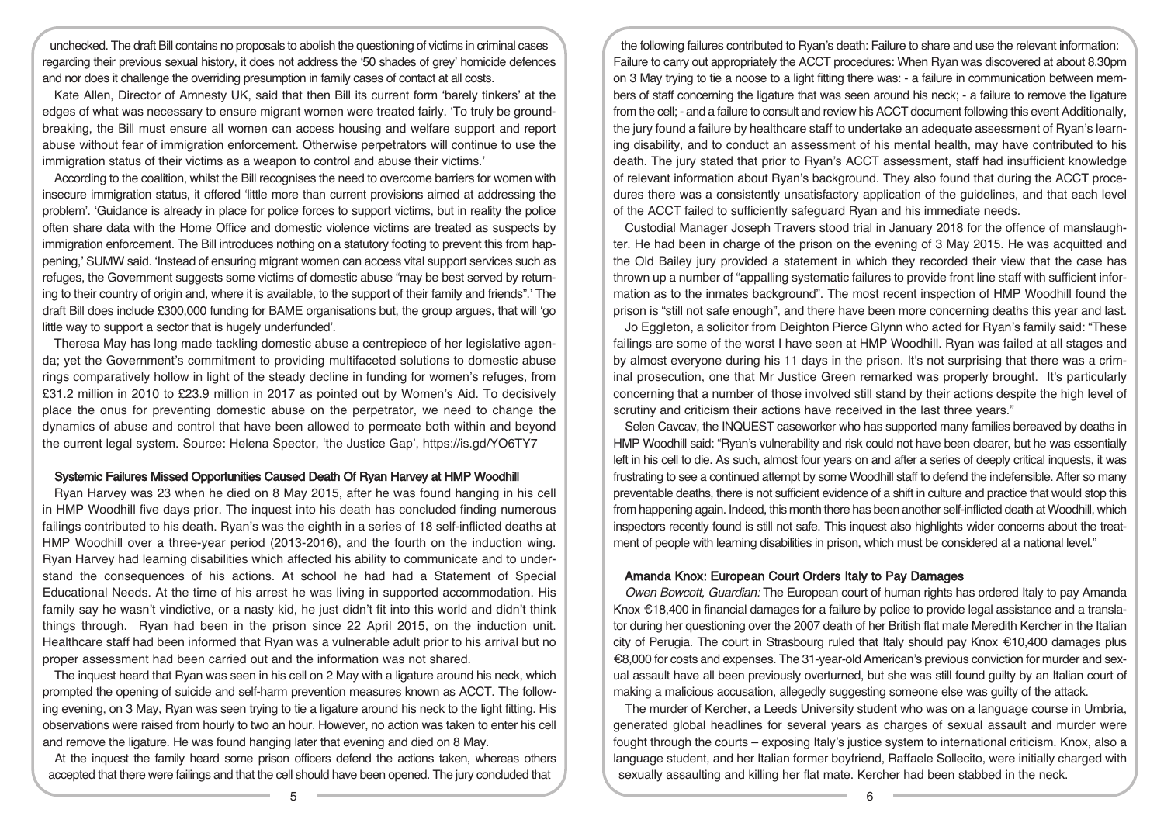unchecked. The draft Bill contains no proposals to abolish the questioning of victims in criminal cases regarding their previous sexual history, it does not address the '50 shades of grey' homicide defences and nor does it challenge the overriding presumption in family cases of contact at all costs.

Kate Allen, Director of Amnesty UK, said that then Bill its current form 'barely tinkers' at the edges of what was necessary to ensure migrant women were treated fairly. 'To truly be groundbreaking, the Bill must ensure all women can access housing and welfare support and report abuse without fear of immigration enforcement. Otherwise perpetrators will continue to use the immigration status of their victims as a weapon to control and abuse their victims.'

According to the coalition, whilst the Bill recognises the need to overcome barriers for women with insecure immigration status, it offered 'little more than current provisions aimed at addressing the problem'. 'Guidance is already in place for police forces to support victims, but in reality the police often share data with the Home Office and domestic violence victims are treated as suspects by immigration enforcement. The Bill introduces nothing on a statutory footing to prevent this from happening,' SUMW said. 'Instead of ensuring migrant women can access vital support services such as refuges, the Government suggests some victims of domestic abuse "may be best served by returning to their country of origin and, where it is available, to the support of their family and friends".' The draft Bill does include £300,000 funding for BAME organisations but, the group argues, that will 'go little way to support a sector that is hugely underfunded'.

Theresa May has long made tackling domestic abuse a centrepiece of her legislative agenda; yet the Government's commitment to providing multifaceted solutions to domestic abuse rings comparatively hollow in light of the steady decline in funding for women's refuges, from £31.2 million in 2010 to £23.9 million in 2017 as pointed out by Women's Aid. To decisively place the onus for preventing domestic abuse on the perpetrator, we need to change the dynamics of abuse and control that have been allowed to permeate both within and beyond the current legal system. Source: Helena Spector, 'the Justice Gap', https://is.gd/YO6TY7

#### Systemic Failures Missed Opportunities Caused Death Of Ryan Harvey at HMP Woodhill

Ryan Harvey was 23 when he died on 8 May 2015, after he was found hanging in his cell in HMP Woodhill five days prior. The inquest into his death has concluded finding numerous failings contributed to his death. Ryan's was the eighth in a series of 18 self-inflicted deaths at HMP Woodhill over a three-year period (2013-2016), and the fourth on the induction wing. Ryan Harvey had learning disabilities which affected his ability to communicate and to understand the consequences of his actions. At school he had had a Statement of Special Educational Needs. At the time of his arrest he was living in supported accommodation. His family say he wasn't vindictive, or a nasty kid, he just didn't fit into this world and didn't think things through. Ryan had been in the prison since 22 April 2015, on the induction unit. Healthcare staff had been informed that Ryan was a vulnerable adult prior to his arrival but no proper assessment had been carried out and the information was not shared.

The inquest heard that Ryan was seen in his cell on 2 May with a ligature around his neck, which prompted the opening of suicide and self-harm prevention measures known as ACCT. The following evening, on 3 May, Ryan was seen trying to tie a ligature around his neck to the light fitting. His observations were raised from hourly to two an hour. However, no action was taken to enter his cell and remove the ligature. He was found hanging later that evening and died on 8 May.

At the inquest the family heard some prison officers defend the actions taken, whereas others accepted that there were failings and that the cell should have been opened. The jury concluded that

the following failures contributed to Ryan's death: Failure to share and use the relevant information: Failure to carry out appropriately the ACCT procedures: When Ryan was discovered at about 8.30pm on 3 May trying to tie a noose to a light fitting there was: - a failure in communication between members of staff concerning the ligature that was seen around his neck; - a failure to remove the ligature from the cell; - and a failure to consult and review his ACCT document following this event Additionally, the jury found a failure by healthcare staff to undertake an adequate assessment of Ryan's learning disability, and to conduct an assessment of his mental health, may have contributed to his death. The jury stated that prior to Ryan's ACCT assessment, staff had insufficient knowledge of relevant information about Ryan's background. They also found that during the ACCT procedures there was a consistently unsatisfactory application of the guidelines, and that each level of the ACCT failed to sufficiently safeguard Ryan and his immediate needs.

Custodial Manager Joseph Travers stood trial in January 2018 for the offence of manslaughter. He had been in charge of the prison on the evening of 3 May 2015. He was acquitted and the Old Bailey jury provided a statement in which they recorded their view that the case has thrown up a number of "appalling systematic failures to provide front line staff with sufficient information as to the inmates background". The most recent inspection of HMP Woodhill found the prison is "still not safe enough", and there have been more concerning deaths this year and last.

Jo Eggleton, a solicitor from Deighton Pierce Glynn who acted for Ryan's family said: "These failings are some of the worst I have seen at HMP Woodhill. Ryan was failed at all stages and by almost everyone during his 11 days in the prison. It's not surprising that there was a criminal prosecution, one that Mr Justice Green remarked was properly brought. It's particularly concerning that a number of those involved still stand by their actions despite the high level of scrutiny and criticism their actions have received in the last three years."

Selen Cavcav, the INQUEST caseworker who has supported many families bereaved by deaths in HMP Woodhill said: "Ryan's vulnerability and risk could not have been clearer, but he was essentially left in his cell to die. As such, almost four years on and after a series of deeply critical inquests, it was frustrating to see a continued attempt by some Woodhill staff to defend the indefensible. After so many preventable deaths, there is not sufficient evidence of a shift in culture and practice that would stop this from happening again. Indeed, this month there has been another self-inflicted death at Woodhill, which inspectors recently found is still not safe. This inquest also highlights wider concerns about the treatment of people with learning disabilities in prison, which must be considered at a national level."

#### Amanda Knox: European Court Orders Italy to Pay Damages

Owen Bowcott, Guardian: The European court of human rights has ordered Italy to pay Amanda Knox €18,400 in financial damages for a failure by police to provide legal assistance and a translator during her questioning over the 2007 death of her British flat mate Meredith Kercher in the Italian city of Perugia. The court in Strasbourg ruled that Italy should pay Knox €10,400 damages plus €8,000 for costs and expenses. The 31-year-old American's previous conviction for murder and sexual assault have all been previously overturned, but she was still found guilty by an Italian court of making a malicious accusation, allegedly suggesting someone else was guilty of the attack.

The murder of Kercher, a Leeds University student who was on a language course in Umbria, generated global headlines for several years as charges of sexual assault and murder were fought through the courts – exposing Italy's justice system to international criticism. Knox, also a language student, and her Italian former boyfriend, Raffaele Sollecito, were initially charged with sexually assaulting and killing her flat mate. Kercher had been stabbed in the neck.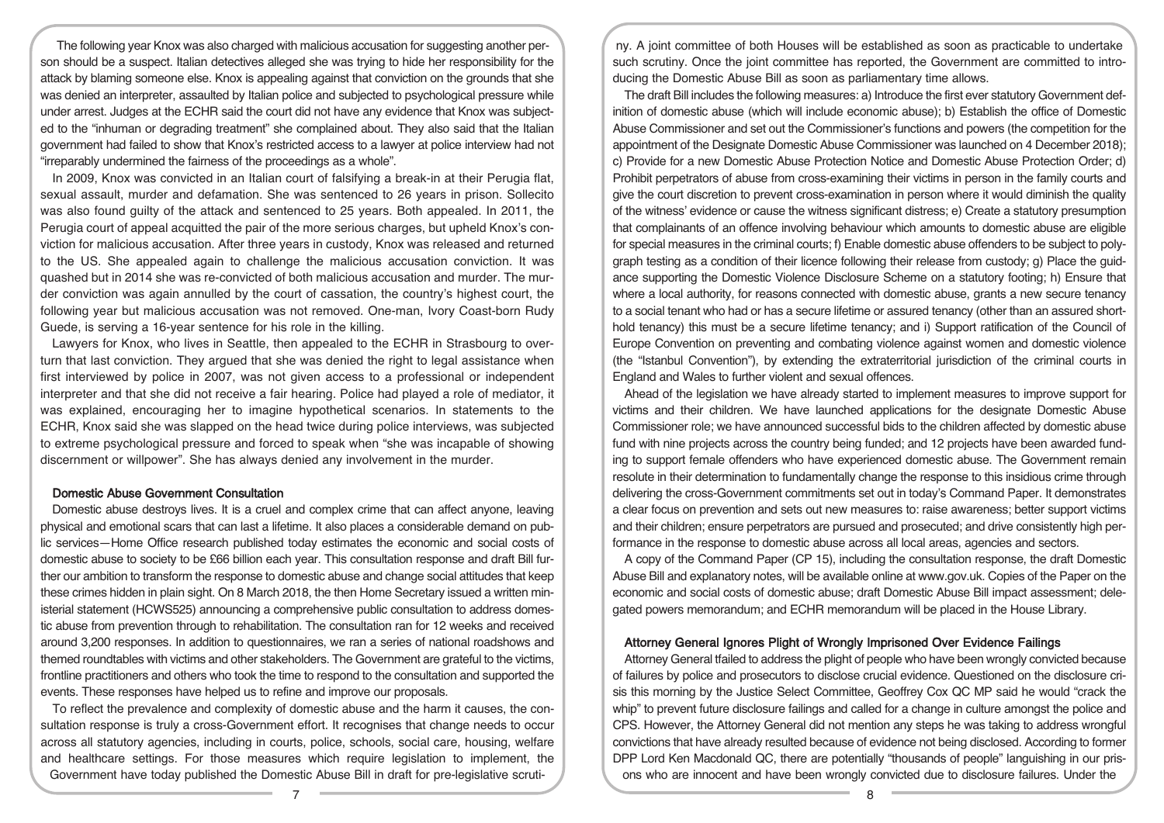The following year Knox was also charged with malicious accusation for suggesting another person should be a suspect. Italian detectives alleged she was trying to hide her responsibility for the attack by blaming someone else. Knox is appealing against that conviction on the grounds that she was denied an interpreter, assaulted by Italian police and subjected to psychological pressure while under arrest. Judges at the ECHR said the court did not have any evidence that Knox was subjected to the "inhuman or degrading treatment" she complained about. They also said that the Italian government had failed to show that Knox's restricted access to a lawyer at police interview had not "irreparably undermined the fairness of the proceedings as a whole".

In 2009, Knox was convicted in an Italian court of falsifying a break-in at their Perugia flat, sexual assault, murder and defamation. She was sentenced to 26 years in prison. Sollecito was also found guilty of the attack and sentenced to 25 years. Both appealed. In 2011, the Perugia court of appeal acquitted the pair of the more serious charges, but upheld Knox's conviction for malicious accusation. After three years in custody, Knox was released and returned to the US. She appealed again to challenge the malicious accusation conviction. It was quashed but in 2014 she was re-convicted of both malicious accusation and murder. The murder conviction was again annulled by the court of cassation, the country's highest court, the following year but malicious accusation was not removed. One-man, Ivory Coast-born Rudy Guede, is serving a 16-year sentence for his role in the killing.

Lawyers for Knox, who lives in Seattle, then appealed to the ECHR in Strasbourg to overturn that last conviction. They argued that she was denied the right to legal assistance when first interviewed by police in 2007, was not given access to a professional or independent interpreter and that she did not receive a fair hearing. Police had played a role of mediator, it was explained, encouraging her to imagine hypothetical scenarios. In statements to the ECHR, Knox said she was slapped on the head twice during police interviews, was subjected to extreme psychological pressure and forced to speak when "she was incapable of showing discernment or willpower". She has always denied any involvement in the murder.

### Domestic Abuse Government Consultation

Domestic abuse destroys lives. It is a cruel and complex crime that can affect anyone, leaving physical and emotional scars that can last a lifetime. It also places a considerable demand on public services—Home Office research published today estimates the economic and social costs of domestic abuse to society to be £66 billion each year. This consultation response and draft Bill further our ambition to transform the response to domestic abuse and change social attitudes that keep these crimes hidden in plain sight. On 8 March 2018, the then Home Secretary issued a written ministerial statement (HCWS525) announcing a comprehensive public consultation to address domestic abuse from prevention through to rehabilitation. The consultation ran for 12 weeks and received around 3,200 responses. In addition to questionnaires, we ran a series of national roadshows and themed roundtables with victims and other stakeholders. The Government are grateful to the victims, frontline practitioners and others who took the time to respond to the consultation and supported the events. These responses have helped us to refine and improve our proposals.

To reflect the prevalence and complexity of domestic abuse and the harm it causes, the consultation response is truly a cross-Government effort. It recognises that change needs to occur across all statutory agencies, including in courts, police, schools, social care, housing, welfare and healthcare settings. For those measures which require legislation to implement, the Government have today published the Domestic Abuse Bill in draft for pre-legislative scruti-

ny. A joint committee of both Houses will be established as soon as practicable to undertake such scrutiny. Once the joint committee has reported, the Government are committed to introducing the Domestic Abuse Bill as soon as parliamentary time allows.

The draft Bill includes the following measures: a) Introduce the first ever statutory Government definition of domestic abuse (which will include economic abuse); b) Establish the office of Domestic Abuse Commissioner and set out the Commissioner's functions and powers (the competition for the appointment of the Designate Domestic Abuse Commissioner was launched on 4 December 2018); c) Provide for a new Domestic Abuse Protection Notice and Domestic Abuse Protection Order; d) Prohibit perpetrators of abuse from cross-examining their victims in person in the family courts and give the court discretion to prevent cross-examination in person where it would diminish the quality of the witness' evidence or cause the witness significant distress; e) Create a statutory presumption that complainants of an offence involving behaviour which amounts to domestic abuse are eligible for special measures in the criminal courts; f) Enable domestic abuse offenders to be subject to polygraph testing as a condition of their licence following their release from custody; g) Place the guidance supporting the Domestic Violence Disclosure Scheme on a statutory footing; h) Ensure that where a local authority, for reasons connected with domestic abuse, grants a new secure tenancy to a social tenant who had or has a secure lifetime or assured tenancy (other than an assured shorthold tenancy) this must be a secure lifetime tenancy; and i) Support ratification of the Council of Europe Convention on preventing and combating violence against women and domestic violence (the "Istanbul Convention"), by extending the extraterritorial jurisdiction of the criminal courts in England and Wales to further violent and sexual offences.

Ahead of the legislation we have already started to implement measures to improve support for victims and their children. We have launched applications for the designate Domestic Abuse Commissioner role; we have announced successful bids to the children affected by domestic abuse fund with nine projects across the country being funded; and 12 projects have been awarded funding to support female offenders who have experienced domestic abuse. The Government remain resolute in their determination to fundamentally change the response to this insidious crime through delivering the cross-Government commitments set out in today's Command Paper. It demonstrates a clear focus on prevention and sets out new measures to: raise awareness; better support victims and their children; ensure perpetrators are pursued and prosecuted; and drive consistently high performance in the response to domestic abuse across all local areas, agencies and sectors.

A copy of the Command Paper (CP 15), including the consultation response, the draft Domestic Abuse Bill and explanatory notes, will be available online at www.gov.uk. Copies of the Paper on the economic and social costs of domestic abuse; draft Domestic Abuse Bill impact assessment; delegated powers memorandum; and ECHR memorandum will be placed in the House Library.

#### Attorney General Ignores Plight of Wrongly Imprisoned Over Evidence Failings

Attorney General tfailed to address the plight of people who have been wrongly convicted because of failures by police and prosecutors to disclose crucial evidence. Questioned on the disclosure crisis this morning by the Justice Select Committee, Geoffrey Cox QC MP said he would "crack the whip" to prevent future disclosure failings and called for a change in culture amongst the police and CPS. However, the Attorney General did not mention any steps he was taking to address wrongful convictions that have already resulted because of evidence not being disclosed. According to former DPP Lord Ken Macdonald QC, there are potentially "thousands of people" languishing in our prisons who are innocent and have been wrongly convicted due to disclosure failures. Under the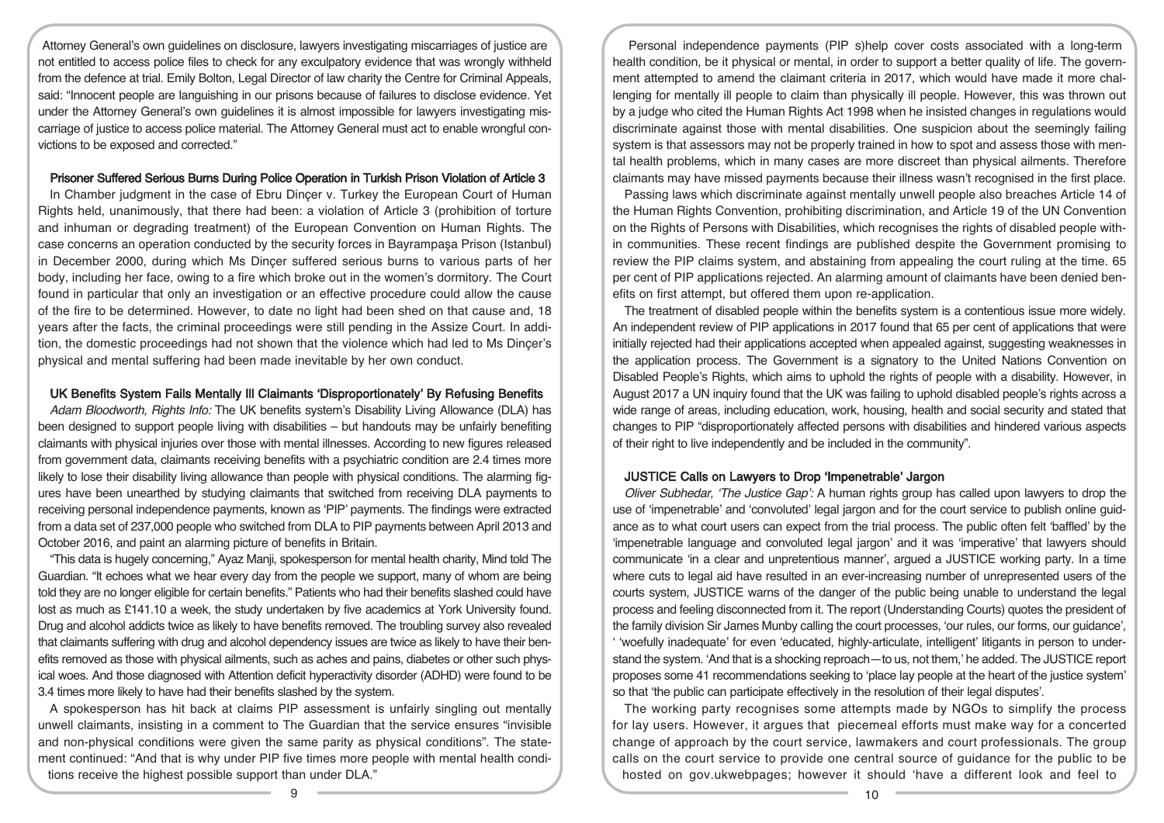Attorney General's own guidelines on disclosure, lawyers investigating miscarriages of justice are not entitled to access police files to check for any exculpatory evidence that was wrongly withheld from the defence at trial. Emily Bolton, Legal Director of law charity the Centre for Criminal Appeals, said: "Innocent people are languishing in our prisons because of failures to disclose evidence. Yet under the Attorney General's own guidelines it is almost impossible for lawyers investigating miscarriage of justice to access police material. The Attorney General must act to enable wrongful convictions to be exposed and corrected."

### Prisoner Suffered Serious Burns During Police Operation in Turkish Prison Violation of Article 3

In Chamber judgment in the case of Ebru Dinçer v. Turkey the European Court of Human Rights held, unanimously, that there had been: a violation of Article 3 (prohibition of torture and inhuman or degrading treatment) of the European Convention on Human Rights. The case concerns an operation conducted by the security forces in Bayrampaşa Prison (Istanbul) in December 2000, during which Ms Dinçer suffered serious burns to various parts of her body, including her face, owing to a fire which broke out in the women's dormitory. The Court found in particular that only an investigation or an effective procedure could allow the cause of the fire to be determined. However, to date no light had been shed on that cause and, 18 years after the facts, the criminal proceedings were still pending in the Assize Court. In addition, the domestic proceedings had not shown that the violence which had led to Ms Dinçer's physical and mental suffering had been made inevitable by her own conduct.

#### UK Benefits System Fails Mentally Ill Claimants 'Disproportionately' By Refusing Benefits

Adam Bloodworth, Rights Info: The UK benefits system's Disability Living Allowance (DLA) has been designed to support people living with disabilities – but handouts may be unfairly benefiting claimants with physical injuries over those with mental illnesses. According to new figures released from government data, claimants receiving benefits with a psychiatric condition are 2.4 times more likely to lose their disability living allowance than people with physical conditions. The alarming figures have been unearthed by studying claimants that switched from receiving DLA payments to receiving personal independence payments, known as 'PIP' payments. The findings were extracted from a data set of 237,000 people who switched from DLA to PIP payments between April 2013 and October 2016, and paint an alarming picture of benefits in Britain.

"This data is hugely concerning," Ayaz Manji, spokesperson for mental health charity, Mind told The Guardian. "It echoes what we hear every day from the people we support, many of whom are being told they are no longer eligible for certain benefits." Patients who had their benefits slashed could have lost as much as £141.10 a week, the study undertaken by five academics at York University found. Drug and alcohol addicts twice as likely to have benefits removed. The troubling survey also revealed that claimants suffering with drug and alcohol dependency issues are twice as likely to have their benefits removed as those with physical ailments, such as aches and pains, diabetes or other such physical woes. And those diagnosed with Attention deficit hyperactivity disorder (ADHD) were found to be 3.4 times more likely to have had their benefits slashed by the system.

A spokesperson has hit back at claims PIP assessment is unfairly singling out mentally unwell claimants, insisting in a comment to The Guardian that the service ensures "invisible and non-physical conditions were given the same parity as physical conditions". The statement continued: "And that is why under PIP five times more people with mental health conditions receive the highest possible support than under DLA."

Personal independence payments (PIP s)help cover costs associated with a long-term health condition, be it physical or mental, in order to support a better quality of life. The government attempted to amend the claimant criteria in 2017, which would have made it more challenging for mentally ill people to claim than physically ill people. However, this was thrown out by a judge who cited the Human Rights Act 1998 when he insisted changes in regulations would discriminate against those with mental disabilities. One suspicion about the seemingly failing system is that assessors may not be properly trained in how to spot and assess those with mental health problems, which in many cases are more discreet than physical ailments. Therefore claimants may have missed payments because their illness wasn't recognised in the first place.

Passing laws which discriminate against mentally unwell people also breaches Article 14 of the Human Rights Convention, prohibiting discrimination, and Article 19 of the UN Convention on the Rights of Persons with Disabilities, which recognises the rights of disabled people within communities. These recent findings are published despite the Government promising to review the PIP claims system, and abstaining from appealing the court ruling at the time. 65 per cent of PIP applications rejected. An alarming amount of claimants have been denied benefits on first attempt, but offered them upon re-application.

The treatment of disabled people within the benefits system is a contentious issue more widely. An independent review of PIP applications in 2017 found that 65 per cent of applications that were initially rejected had their applications accepted when appealed against, suggesting weaknesses in the application process. The Government is a signatory to the United Nations Convention on Disabled People's Rights, which aims to uphold the rights of people with a disability. However, in August 2017 a UN inquiry found that the UK was failing to uphold disabled people's rights across a wide range of areas, including education, work, housing, health and social security and stated that changes to PIP "disproportionately affected persons with disabilities and hindered various aspects of their right to live independently and be included in the community".

### JUSTICE Calls on Lawyers to Drop 'Impenetrable' Jargon

Oliver Subhedar, 'The Justice Gap': A human rights group has called upon lawyers to drop the use of 'impenetrable' and 'convoluted' legal jargon and for the court service to publish online guidance as to what court users can expect from the trial process. The public often felt 'baffled' by the 'impenetrable language and convoluted legal jargon' and it was 'imperative' that lawyers should communicate 'in a clear and unpretentious manner', argued a JUSTICE working party. In a time where cuts to legal aid have resulted in an ever-increasing number of unrepresented users of the courts system, JUSTICE warns of the danger of the public being unable to understand the legal process and feeling disconnected from it. The report (Understanding Courts) quotes the president of the family division Sir James Munby calling the court processes, 'our rules, our forms, our guidance', ' 'woefully inadequate' for even 'educated, highly-articulate, intelligent' litigants in person to understand the system. 'And that is a shocking reproach—to us, not them,' he added. The JUSTICE report proposes some 41 recommendations seeking to 'place lay people at the heart of the justice system' so that 'the public can participate effectively in the resolution of their legal disputes'.

The working party recognises some attempts made by NGOs to simplify the process for lay users. However, it argues that piecemeal efforts must make way for a concerted change of approach by the court service, lawmakers and court professionals. The group calls on the court service to provide one central source of guidance for the public to be hosted on gov.ukwebpages; however it should 'have a different look and feel to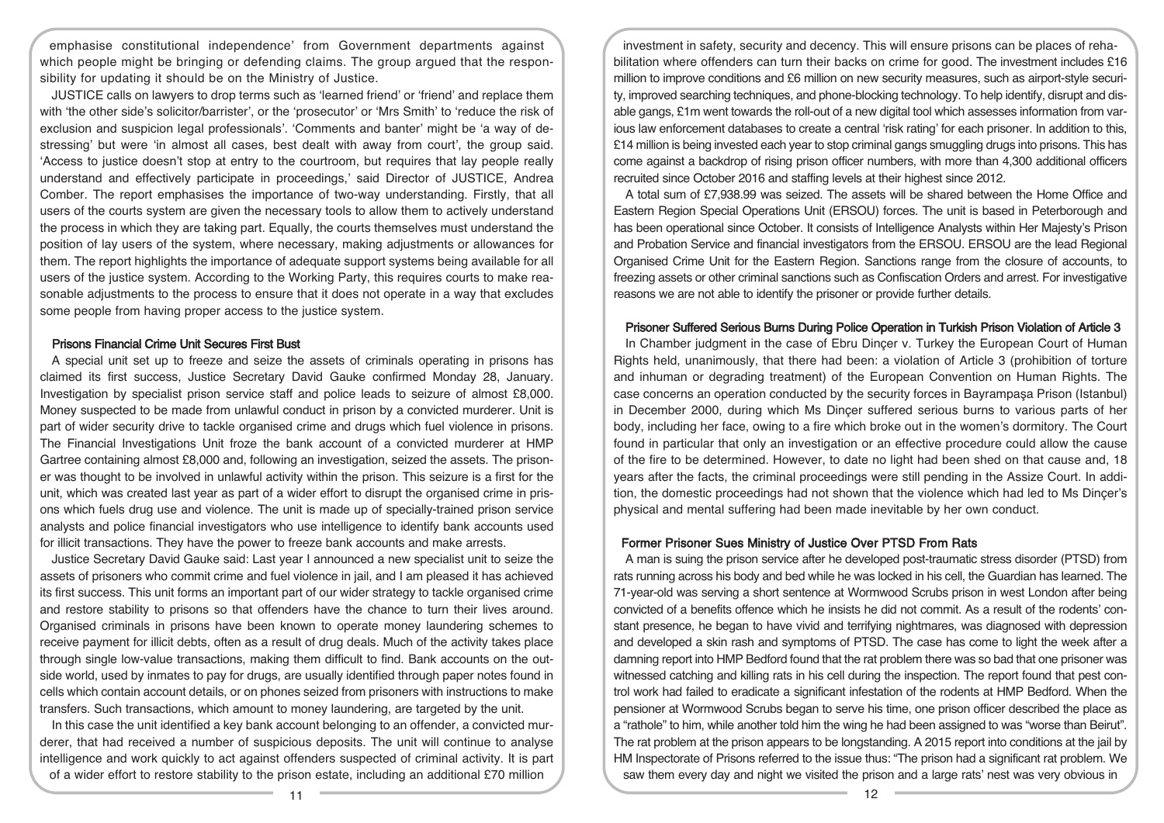emphasise constitutional independence' from Government departments against which people might be bringing or defending claims. The group argued that the responsibility for updating it should be on the Ministry of Justice.

JUSTICE calls on lawyers to drop terms such as 'learned friend' or 'friend' and replace them with 'the other side's solicitor/barrister', or the 'prosecutor' or 'Mrs Smith' to 'reduce the risk of exclusion and suspicion legal professionals'. 'Comments and banter' might be 'a way of destressing' but were 'in almost all cases, best dealt with away from court', the group said. 'Access to justice doesn't stop at entry to the courtroom, but requires that lay people really understand and effectively participate in proceedings,' said Director of JUSTICE, Andrea Comber. The report emphasises the importance of two-way understanding. Firstly, that all users of the courts system are given the necessary tools to allow them to actively understand the process in which they are taking part. Equally, the courts themselves must understand the position of lay users of the system, where necessary, making adjustments or allowances for them. The report highlights the importance of adequate support systems being available for all users of the justice system. According to the Working Party, this requires courts to make reasonable adjustments to the process to ensure that it does not operate in a way that excludes some people from having proper access to the justice system.

### Prisons Financial Crime Unit Secures First Bust

A special unit set up to freeze and seize the assets of criminals operating in prisons has claimed its first success, Justice Secretary David Gauke confirmed Monday 28, January. Investigation by specialist prison service staff and police leads to seizure of almost £8,000. Money suspected to be made from unlawful conduct in prison by a convicted murderer. Unit is part of wider security drive to tackle organised crime and drugs which fuel violence in prisons. The Financial Investigations Unit froze the bank account of a convicted murderer at HMP Gartree containing almost £8,000 and, following an investigation, seized the assets. The prisoner was thought to be involved in unlawful activity within the prison. This seizure is a first for the unit, which was created last year as part of a wider effort to disrupt the organised crime in prisons which fuels drug use and violence. The unit is made up of specially-trained prison service analysts and police financial investigators who use intelligence to identify bank accounts used for illicit transactions. They have the power to freeze bank accounts and make arrests.

Justice Secretary David Gauke said: Last year I announced a new specialist unit to seize the assets of prisoners who commit crime and fuel violence in jail, and I am pleased it has achieved its first success. This unit forms an important part of our wider strategy to tackle organised crime and restore stability to prisons so that offenders have the chance to turn their lives around. Organised criminals in prisons have been known to operate money laundering schemes to receive payment for illicit debts, often as a result of drug deals. Much of the activity takes place through single low-value transactions, making them difficult to find. Bank accounts on the outside world, used by inmates to pay for drugs, are usually identified through paper notes found in cells which contain account details, or on phones seized from prisoners with instructions to make transfers. Such transactions, which amount to money laundering, are targeted by the unit.

In this case the unit identified a key bank account belonging to an offender, a convicted murderer, that had received a number of suspicious deposits. The unit will continue to analyse intelligence and work quickly to act against offenders suspected of criminal activity. It is part of a wider effort to restore stability to the prison estate, including an additional £70 million

investment in safety, security and decency. This will ensure prisons can be places of rehabilitation where offenders can turn their backs on crime for good. The investment includes £16 million to improve conditions and £6 million on new security measures, such as airport-style security, improved searching techniques, and phone-blocking technology. To help identify, disrupt and disable gangs, £1m went towards the roll-out of a new digital tool which assesses information from various law enforcement databases to create a central 'risk rating' for each prisoner. In addition to this, £14 million is being invested each year to stop criminal gangs smuggling drugs into prisons. This has come against a backdrop of rising prison officer numbers, with more than 4,300 additional officers recruited since October 2016 and staffing levels at their highest since 2012.

A total sum of £7,938.99 was seized. The assets will be shared between the Home Office and Eastern Region Special Operations Unit (ERSOU) forces. The unit is based in Peterborough and has been operational since October. It consists of Intelligence Analysts within Her Majesty's Prison and Probation Service and financial investigators from the ERSOU. ERSOU are the lead Regional Organised Crime Unit for the Eastern Region. Sanctions range from the closure of accounts, to freezing assets or other criminal sanctions such as Confiscation Orders and arrest. For investigative reasons we are not able to identify the prisoner or provide further details.

### Prisoner Suffered Serious Burns During Police Operation in Turkish Prison Violation of Article 3

In Chamber judgment in the case of Ebru Dinçer v. Turkey the European Court of Human Rights held, unanimously, that there had been: a violation of Article 3 (prohibition of torture and inhuman or degrading treatment) of the European Convention on Human Rights. The case concerns an operation conducted by the security forces in Bayrampaşa Prison (Istanbul) in December 2000, during which Ms Dinçer suffered serious burns to various parts of her body, including her face, owing to a fire which broke out in the women's dormitory. The Court found in particular that only an investigation or an effective procedure could allow the cause of the fire to be determined. However, to date no light had been shed on that cause and, 18 years after the facts, the criminal proceedings were still pending in the Assize Court. In addition, the domestic proceedings had not shown that the violence which had led to Ms Dinçer's physical and mental suffering had been made inevitable by her own conduct.

### Former Prisoner Sues Ministry of Justice Over PTSD From Rats

A man is suing the prison service after he developed post-traumatic stress disorder (PTSD) from rats running across his body and bed while he was locked in his cell, the Guardian has learned. The 71-year-old was serving a short sentence at Wormwood Scrubs prison in west London after being convicted of a benefits offence which he insists he did not commit. As a result of the rodents' constant presence, he began to have vivid and terrifying nightmares, was diagnosed with depression and developed a skin rash and symptoms of PTSD. The case has come to light the week after a damning report into HMP Bedford found that the rat problem there was so bad that one prisoner was witnessed catching and killing rats in his cell during the inspection. The report found that pest control work had failed to eradicate a significant infestation of the rodents at HMP Bedford. When the pensioner at Wormwood Scrubs began to serve his time, one prison officer described the place as a "rathole" to him, while another told him the wing he had been assigned to was "worse than Beirut". The rat problem at the prison appears to be longstanding. A 2015 report into conditions at the jail by HM Inspectorate of Prisons referred to the issue thus: "The prison had a significant rat problem. We saw them every day and night we visited the prison and a large rats' nest was very obvious in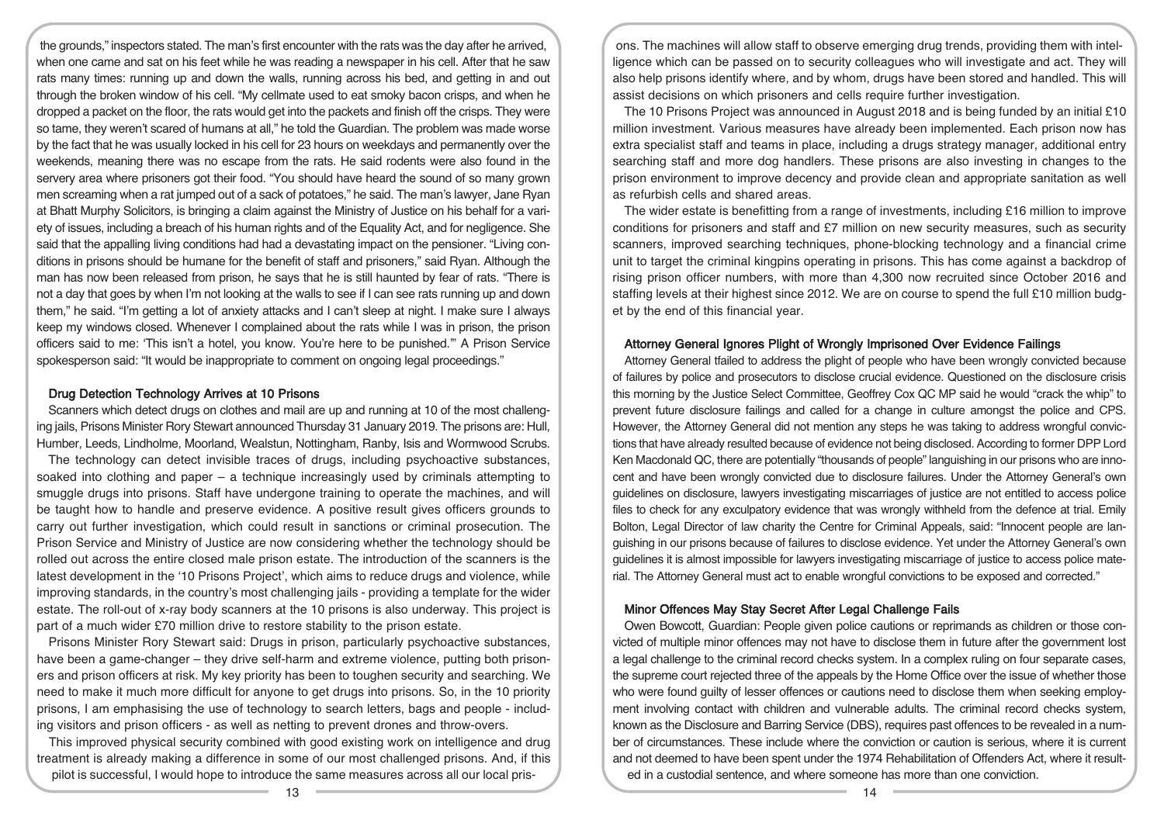the grounds," inspectors stated. The man's first encounter with the rats was the day after he arrived, when one came and sat on his feet while he was reading a newspaper in his cell. After that he saw rats many times: running up and down the walls, running across his bed, and getting in and out through the broken window of his cell. "My cellmate used to eat smoky bacon crisps, and when he dropped a packet on the floor, the rats would get into the packets and finish off the crisps. They were so tame, they weren't scared of humans at all," he told the Guardian. The problem was made worse by the fact that he was usually locked in his cell for 23 hours on weekdays and permanently over the weekends, meaning there was no escape from the rats. He said rodents were also found in the servery area where prisoners got their food. "You should have heard the sound of so many grown men screaming when a rat jumped out of a sack of potatoes," he said. The man's lawyer, Jane Ryan at Bhatt Murphy Solicitors, is bringing a claim against the Ministry of Justice on his behalf for a variety of issues, including a breach of his human rights and of the Equality Act, and for negligence. She said that the appalling living conditions had had a devastating impact on the pensioner. "Living conditions in prisons should be humane for the benefit of staff and prisoners," said Ryan. Although the man has now been released from prison, he says that he is still haunted by fear of rats. "There is not a day that goes by when I'm not looking at the walls to see if I can see rats running up and down them," he said. "I'm getting a lot of anxiety attacks and I can't sleep at night. I make sure I always keep my windows closed. Whenever I complained about the rats while I was in prison, the prison officers said to me: 'This isn't a hotel, you know. You're here to be punished.'" A Prison Service spokesperson said: "It would be inappropriate to comment on ongoing legal proceedings."

### Drug Detection Technology Arrives at 10 Prisons

Scanners which detect drugs on clothes and mail are up and running at 10 of the most challenging jails, Prisons Minister Rory Stewart announced Thursday 31 January 2019. The prisons are: Hull, Humber, Leeds, Lindholme, Moorland, Wealstun, Nottingham, Ranby, Isis and Wormwood Scrubs.

The technology can detect invisible traces of drugs, including psychoactive substances, soaked into clothing and paper – a technique increasingly used by criminals attempting to smuggle drugs into prisons. Staff have undergone training to operate the machines, and will be taught how to handle and preserve evidence. A positive result gives officers grounds to carry out further investigation, which could result in sanctions or criminal prosecution. The Prison Service and Ministry of Justice are now considering whether the technology should be rolled out across the entire closed male prison estate. The introduction of the scanners is the latest development in the '10 Prisons Project', which aims to reduce drugs and violence, while improving standards, in the country's most challenging jails - providing a template for the wider estate. The roll-out of x-ray body scanners at the 10 prisons is also underway. This project is part of a much wider £70 million drive to restore stability to the prison estate.

Prisons Minister Rory Stewart said: Drugs in prison, particularly psychoactive substances, have been a game-changer – they drive self-harm and extreme violence, putting both prisoners and prison officers at risk. My key priority has been to toughen security and searching. We need to make it much more difficult for anyone to get drugs into prisons. So, in the 10 priority prisons, I am emphasising the use of technology to search letters, bags and people - including visitors and prison officers - as well as netting to prevent drones and throw-overs.

This improved physical security combined with good existing work on intelligence and drug treatment is already making a difference in some of our most challenged prisons. And, if this pilot is successful, I would hope to introduce the same measures across all our local pris-

ons. The machines will allow staff to observe emerging drug trends, providing them with intelligence which can be passed on to security colleagues who will investigate and act. They will also help prisons identify where, and by whom, drugs have been stored and handled. This will assist decisions on which prisoners and cells require further investigation.

The 10 Prisons Project was announced in August 2018 and is being funded by an initial £10 million investment. Various measures have already been implemented. Each prison now has extra specialist staff and teams in place, including a drugs strategy manager, additional entry searching staff and more dog handlers. These prisons are also investing in changes to the prison environment to improve decency and provide clean and appropriate sanitation as well as refurbish cells and shared areas.

The wider estate is benefitting from a range of investments, including £16 million to improve conditions for prisoners and staff and  $£7$  million on new security measures, such as security scanners, improved searching techniques, phone-blocking technology and a financial crime unit to target the criminal kingpins operating in prisons. This has come against a backdrop of rising prison officer numbers, with more than 4,300 now recruited since October 2016 and staffing levels at their highest since 2012. We are on course to spend the full £10 million budget by the end of this financial year.

### Attorney General Ignores Plight of Wrongly Imprisoned Over Evidence Failings

Attorney General tfailed to address the plight of people who have been wrongly convicted because of failures by police and prosecutors to disclose crucial evidence. Questioned on the disclosure crisis this morning by the Justice Select Committee, Geoffrey Cox QC MP said he would "crack the whip" to prevent future disclosure failings and called for a change in culture amongst the police and CPS. However, the Attorney General did not mention any steps he was taking to address wrongful convictions that have already resulted because of evidence not being disclosed. According to former DPP Lord Ken Macdonald QC, there are potentially "thousands of people" languishing in our prisons who are innocent and have been wrongly convicted due to disclosure failures. Under the Attorney General's own guidelines on disclosure, lawyers investigating miscarriages of justice are not entitled to access police files to check for any exculpatory evidence that was wrongly withheld from the defence at trial. Emily Bolton, Legal Director of law charity the Centre for Criminal Appeals, said: "Innocent people are languishing in our prisons because of failures to disclose evidence. Yet under the Attorney General's own guidelines it is almost impossible for lawyers investigating miscarriage of justice to access police material. The Attorney General must act to enable wrongful convictions to be exposed and corrected."

### Minor Offences May Stay Secret After Legal Challenge Fails

Owen Bowcott, Guardian: People given police cautions or reprimands as children or those convicted of multiple minor offences may not have to disclose them in future after the government lost a legal challenge to the criminal record checks system. In a complex ruling on four separate cases, the supreme court rejected three of the appeals by the Home Office over the issue of whether those who were found guilty of lesser offences or cautions need to disclose them when seeking employment involving contact with children and vulnerable adults. The criminal record checks system, known as the Disclosure and Barring Service (DBS), requires past offences to be revealed in a number of circumstances. These include where the conviction or caution is serious, where it is current and not deemed to have been spent under the 1974 Rehabilitation of Offenders Act, where it resulted in a custodial sentence, and where someone has more than one conviction.